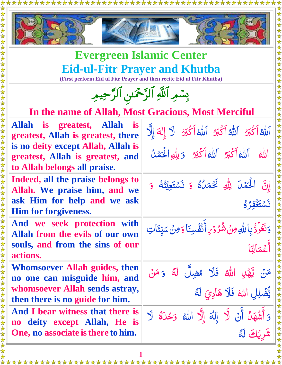

# **Evergreen Islamic Center Eid-ul-Fitr Prayer and Khutba**

**(First perform Eid ul Fitr Prayer and then recite Eid ul Fitr Khutba)**

| بِسْمِرِ ٱللَّهِ ٱلرَّحْمَىٰنِ ٱلرَّحِيمِ                                                                                          |                                                                                       |  |
|------------------------------------------------------------------------------------------------------------------------------------|---------------------------------------------------------------------------------------|--|
| In the name of Allah, Most Gracious, Most Merciful                                                                                 |                                                                                       |  |
| Allah is greatest, Allah is<br>greatest, Allah is greatest, there                                                                  | اَللَّهُ اَكْبَرُ اَللَّهُ اَكْبَرُ اَللَّهُ اَكْبَرُ لَا إِلٰهَ إِلَّا               |  |
| is no deity except Allah, Allah is<br>greatest, Allah is greatest, and<br>to Allah belongs all praise.                             | الله الله الكبر الله اكبر ويله الحَمْلُ                                               |  |
| Indeed, all the praise belongs to<br>Allah. We praise him, and we<br>ask Him for help and we ask<br><b>Him for forgiveness.</b>    | إِنَّ الْحَمْلَ لِلَّهِ فَحْمَلُهُ وَ نَسْتَعِيْنُهُ وَ<br>3 مُتَغَفَّه كَا           |  |
| And we seek protection with<br>Allah from the evils of our own<br>souls, and from the sins of our<br>actions.                      | وَنَعُوَّذُبِاللَّهِ مِنْ شُرُوْرِ أَنَفُسِنَا وَمِنْ سَيِّئَاتِ<br>أَعْمَالِنَا      |  |
| Whomsoever Allah guides, then<br>no one can misguide him, and<br>whomsoever Allah sends astray,<br>then there is no guide for him. | مَنْ يَّهْنِ اللهِ فَلَا مُضِلَّ لَهُ وَ مَنْ<br>يَّضْلِلِ اللَّهُ فَلَا هَادِيَ لَهُ |  |
| And I bear witness that there is<br>no deity except Allah, He is<br>One, no associate is there to him.                             | وَأَشْهَدُ أَنْ لَّا إِلٰهَ إِلَّا الله وَحْدَهُ لَا<br>شَرِيْكَ لَهُ                 |  |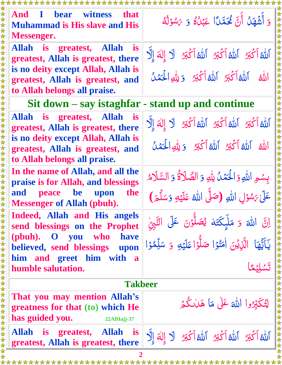| And I bear witness that<br><b>Muhammad is His slave and His</b><br><b>Messenger.</b>                   | وَ أَشْهَلُ أَنَّ لَمَحَمَّاً عَبْلُهُ وَ يَسْوَلُهُ                                                                           |
|--------------------------------------------------------------------------------------------------------|--------------------------------------------------------------------------------------------------------------------------------|
| Allah is greatest, Allah<br><i>is</i><br>greatest, Allah is greatest, there                            | الله اتَ الله الله الله الله الله الله الله إلى الله إلى                                                                       |
| is no deity except Allah, Allah is<br>greatest, Allah is greatest, and<br>to Allah belongs all praise. | الله الله الكُّنُ اللهُ اَكْبَرُ وَيِلْهِ الْحَمَلُ                                                                            |
| $\text{Si}$ t down – say istaghfar - stand up and continue                                             |                                                                                                                                |
| Allah is greatest, Allah is<br>greatest, Allah is greatest, there                                      | اَللَّهُ اَكْبَرُ اَللَّهُ اَكْبَرُ اَللَّهُ اَكْبَرُ لَا إِلٰهَ إِلَّا                                                        |
| is no deity except Allah, Allah is<br>greatest, Allah is greatest, and<br>to Allah belongs all praise. | الله الله أكَّتِ الله أكَّتِ وَيِلُّهِ الْحَمَلُ                                                                               |
| In the name of Allah, and all the<br>praise is for Allah, and blessings                                | بِسْمِ اللَّهِ وَالْحَمْلُ لِلَّهِ وَ الصَّلَاةُ وَ السَّلَامُ                                                                 |
| and peace be upon<br>the<br><b>Messenger of Allah (pbuh).</b>                                          | عَلَىٰ يَسْوَلِ اللَّهِ (صَلَّى اللَّهُ عَلَيْهِ وَسَلَّمَ)                                                                    |
| Indeed, Allah and His angels<br>send blessings on the Prophet                                          | اِنَّ اللَّٰہَ وَ مَلَّیکَتَهُ یُصَلُّوۡنَ عَلَى النَّبِیُّ<br>یَاَیُّھَا الَّذِیۡنَ اٰمَنُوۡا صَلُّوۡا عَلَیۡهِ وَ سَلِّمُوۡا |
| (pbuh). O you who<br>have<br>believed, send blessings upon                                             |                                                                                                                                |
| him and greet him with a<br>humble salutation.                                                         |                                                                                                                                |
| 女女女女女女女女女女女女女女女女女女女女女女女女女<br><b>Takbeer</b>                                                            |                                                                                                                                |
| That you may mention Allah's<br>greatness for that (to) which He<br>has guided you.<br>22AlHajj-37     | لِتُكَبِّرُوا اللهَ عَلَى مَا هَالْكُمْ                                                                                        |
| Allah is greatest, Allah<br><b>is</b><br>greatest, Allah is greatest, there                            | الله الكَّبِرُ اللهُ الكَّبِرُ اللهُ اَكْبَرُ لَا إِلٰهَ إِلَّا                                                                |
|                                                                                                        |                                                                                                                                |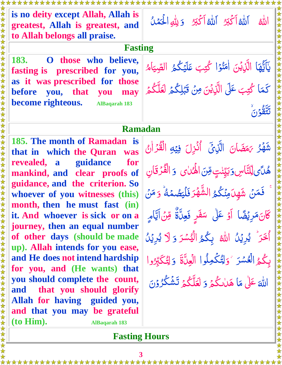| is no deity except Allah, Allah is<br>greatest, Allah is greatest, and | اللهُ إِلَيْهِ أَكْبَرُ إِلَيْهِ أَكْبَرُ وَ لِلَّهِ الْحَمَلُ    |  |
|------------------------------------------------------------------------|-------------------------------------------------------------------|--|
| to Allah belongs all praise.                                           |                                                                   |  |
| <b>Fasting</b>                                                         |                                                                   |  |
| <b>183.</b><br>O those who believe,<br>fasting is prescribed for you,  | يَآَيُّهَا الَّذِيْنَ اٰمَنُوۡا کُتِبَ عَلَيۡكُمُ الصِّيَامُ      |  |
| as it was prescribed for those                                         |                                                                   |  |
| before you, that you may                                               | كَمَا كُتِبَ عَلَى الَّذِيْنَ مِنْ قَبْلِكُمْ لَعَلَّكُمْ         |  |
| become righteous. AlBaqarah 183                                        |                                                                   |  |
|                                                                        |                                                                   |  |
|                                                                        |                                                                   |  |
| <b>Ramadan</b>                                                         |                                                                   |  |
| 185. The month of Ramadan is<br>that in which the Quran was            | شَّهْرُ يَهَضَانَ الَّذِيِّ أُنْزِلَ فِيْهِ الْقُرْانُ            |  |
| revealed, a guidance<br>for                                            | هُلَّى لِّلِتَّاسِ وَبَيِّنْتِ مِّنَ الْهُمَايِ ۚ وَ الْفُرْقَانِ |  |
| mankind, and clear proofs of                                           |                                                                   |  |
| guidance, and the criterion. So                                        |                                                                   |  |
| whoever of you witnesses (this)                                        | فَمَنْ شَهِدَمِنَكُمُ الشَّهْرَ فَلْيَصُمُهُ ۚ وَ مَنْ            |  |
| month, then he must fast (in)                                          |                                                                   |  |
| it. And whoever is sick or on a                                        | كَانَ مَرِيْضًا ۚ أَوۡ عَلَىٰ ۖ سَفَرِ فَعِنَّةٌ ۚ مِّنۡ اتَّامِ  |  |
| journey, then an equal number                                          |                                                                   |  |
| of other days (should be made                                          | اُخَرَ يُرِيۡنُ اللَّهُ بِكُمُ الۡيُسۡرَ وَ لَا يُرِيۡنُ          |  |
| up). Allah intends for you ease,                                       |                                                                   |  |
| and He does not intend hardship                                        | بِكُمُ الْعُسْرَ ۚ وَلِتُكُمِلُوا الْعِلَّةَ ۚ وَلِتُكَبِّرُوا    |  |
| for you, and (He wants) that                                           |                                                                   |  |
| you should complete the count,                                         | اللَّهَ عَلَىٰ مَا هَاٰلِكُمۡ وَ لَعَلَّكُمۡ تَشۡكُرُوۡنَ         |  |
| and that you should glorify                                            |                                                                   |  |
| Allah for having guided you,                                           |                                                                   |  |
| and that you may be grateful                                           |                                                                   |  |
| (to Him).<br><b>AlBaqarah 183</b>                                      |                                                                   |  |

#### **Fasting Hours**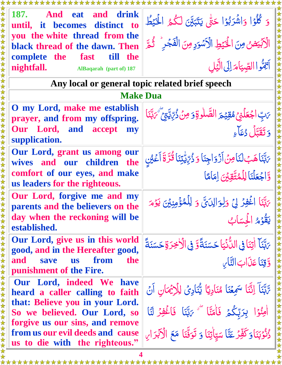| 187. And eat<br>and drink<br>until, it becomes distinct to                                            | وَ كُلُوۡا وَاشۡرَبُوۡا حَتّٰى يَتَبَيَّنَ لَكُمُ الۡخَيۡطُ                                                     |  |
|-------------------------------------------------------------------------------------------------------|-----------------------------------------------------------------------------------------------------------------|--|
| you the white thread from the<br>black thread of the dawn. Then                                       | الْكِبْيَضِ مِنَ الْحَيْطِ الْكَسْوَدِ مِنَ الْفَجْرِ وَلَيْهِمْ                                                |  |
| complete the fast till the                                                                            |                                                                                                                 |  |
| nightfall. AlBaqarah (part of) 187                                                                    | أنِهُّواالصِّيَامَ إِلَى الَّيْلِ                                                                               |  |
| Any local or general topic related brief speech                                                       |                                                                                                                 |  |
| <b>Make Dua</b>                                                                                       |                                                                                                                 |  |
| O my Lord, make me establish<br>prayer, and from my offspring.                                        | يَ بِّ اجْعَلْنِي مُقِيْمَ الصَّلْوةِ وَمِنْ ذُرِّيِّةٍ مِنْ أَنْ                                               |  |
| Our Lord, and accept my<br>supplication.                                                              | وَتَقَتَلْ دُعَاءِ                                                                                              |  |
| Our Lord, grant us among our<br>wives and our children the                                            |                                                                                                                 |  |
| comfort of our eyes, and make                                                                         | ىَبَّنَاهَبُلْنَاصِنَ اَزْوَاجِنَا وَ دُرِّيِّيِّنَا قُرَّةَ اَعۡيُنِ<br>وَاجۡعَلۡنَا لِلۡمُتَّقِيۡنَ لِمَامَّا |  |
| us leaders for the righteous.                                                                         |                                                                                                                 |  |
| Our Lord, forgive me and my<br>parents and the believers on the                                       | يَهَّنَا اَغْفِرْ لِيَ وَلِوَالِدَيَّ وَ لِلْمُؤْمِنِينَ يَوْمَ                                                 |  |
| day when the reckoning will be<br>established.                                                        | يَقْوُمُ الْحَسَابُ                                                                                             |  |
| Our Lord, give us in this world<br>good, and in the Hereafter good,                                   | ِ مَبَّنَا ۖ إِتِنَا فِي النُّنۡيَا حَسَنَةً وَّ فِي الۡاَخِرَةِ حَسَنَةً                                       |  |
| from<br>the<br>and<br>save<br><b>us</b><br>punishment of the Fire.                                    | وَقِنَا عَذَابَ التَّابِ                                                                                        |  |
| <b>Our Lord, indeed We have</b><br>heard a caller calling to faith                                    | تَّاتِّنَآ إِنَّتَا سَمِعْنَا مُنَادِيًا يُّنَادِيُ لِلْإِيُمَانِ اَنۡ                                          |  |
| that: Believe you in your Lord.<br>So we believed. Our Lord, so                                       | أَوْنُوَا بِرَبِّكُمْ فَأَمَنَّا * يَهَّنَا فَاغْفِرْ لَنَا                                                     |  |
| forgive us our sins, and remove<br>from us our evil deeds and cause<br>us to die with the righteous." | دُّنُوۡبَنَاوَكَٰقِّرۡ عَنَّا سَيِّاٰتِنَا وَ تَوَفَّنَا مَعَ الْآبَرَانِ                                       |  |

**4**